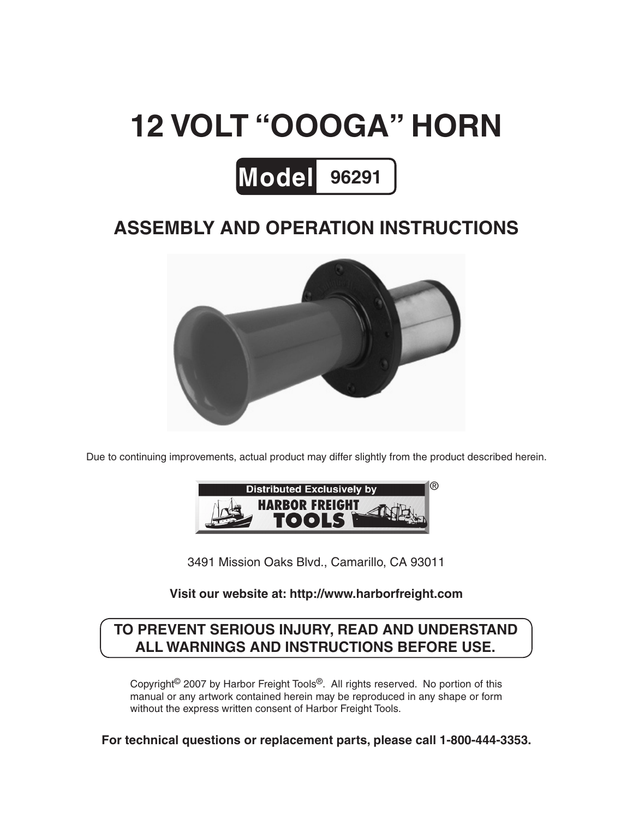# **12 volt "Oooga" horn**



# **Assembly And Operation Instructions**



Due to continuing improvements, actual product may differ slightly from the product described herein.



3491 Mission Oaks Blvd., Camarillo, CA 93011

#### **Visit our website at: http://www.harborfreight.com**

#### **To prevent serious injury, read and understand all warnings and instructions before use.**

Copyright© 2007 by Harbor Freight Tools®. All rights reserved. No portion of this manual or any artwork contained herein may be reproduced in any shape or form without the express written consent of Harbor Freight Tools.

**For technical questions or replacement parts, please call 1-800-444-3353.**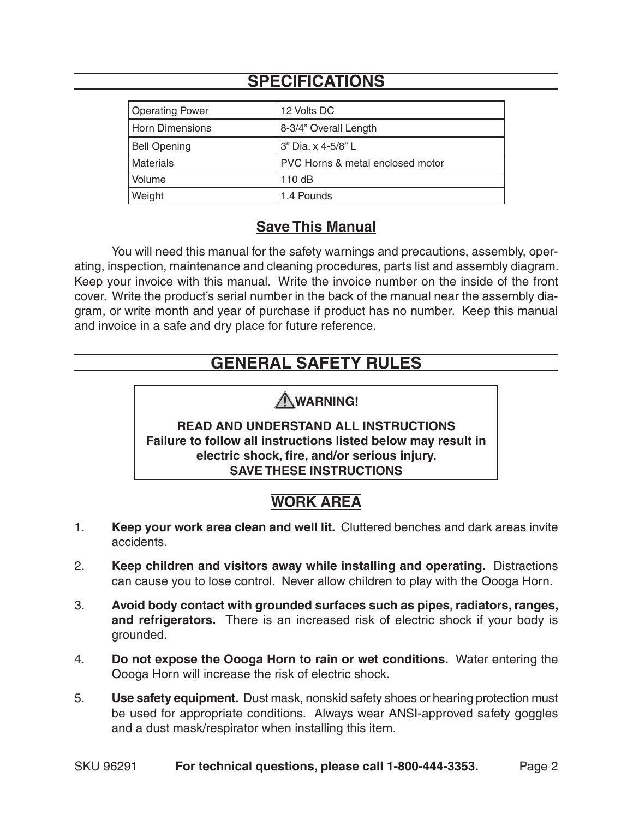# **Specifications**

| <b>Operating Power</b> | 12 Volts DC                      |
|------------------------|----------------------------------|
| <b>Horn Dimensions</b> | 8-3/4" Overall Length            |
| <b>Bell Opening</b>    | 3" Dia. x 4-5/8" L               |
| Materials              | PVC Horns & metal enclosed motor |
| Volume                 | 110dB                            |
| Weight                 | 1.4 Pounds                       |

#### **Save This Manual**

You will need this manual for the safety warnings and precautions, assembly, operating, inspection, maintenance and cleaning procedures, parts list and assembly diagram. Keep your invoice with this manual. Write the invoice number on the inside of the front cover. Write the product's serial number in the back of the manual near the assembly diagram, or write month and year of purchase if product has no number. Keep this manual and invoice in a safe and dry place for future reference.

# **GENERAL SAFETY RULES**

## **WARNING!**

**READ AND UNDERSTAND ALL INSTRUCTIONS Failure to follow all instructions listed below may result in electric shock, fire, and/or serious injury. SAVE THESE INSTRUCTIONS**

# **Work Area**

- 1. **Keep your work area clean and well lit.** Cluttered benches and dark areas invite accidents.
- 2. **Keep children and visitors away while installing and operating.** Distractions can cause you to lose control. Never allow children to play with the Oooga Horn.
- 3. **Avoid body contact with grounded surfaces such as pipes, radiators, ranges, and refrigerators.** There is an increased risk of electric shock if your body is grounded.
- 4. **Do not expose the Oooga Horn to rain or wet conditions.** Water entering the Oooga Horn will increase the risk of electric shock.
- 5. **Use safety equipment.** Dust mask, nonskid safety shoes or hearing protection must be used for appropriate conditions. Always wear ANSI-approved safety goggles and a dust mask/respirator when installing this item.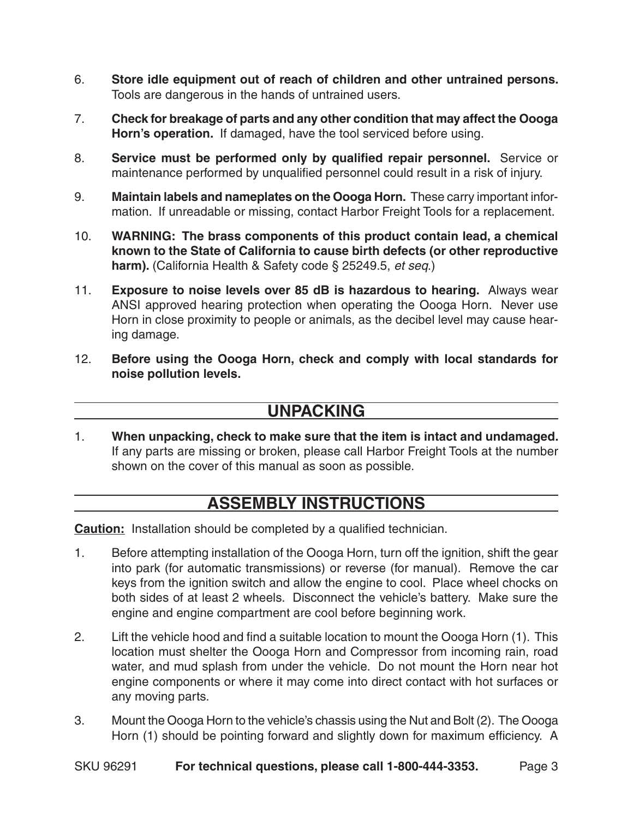- 6. **Store idle equipment out of reach of children and other untrained persons.**  Tools are dangerous in the hands of untrained users.
- 7. **Check for breakage of parts and any other condition that may affect the Oooga Horn's operation.** If damaged, have the tool serviced before using.
- 8. **Service must be performed only by qualified repair personnel.** Service or maintenance performed by unqualified personnel could result in a risk of injury.
- 9. **Maintain labels and nameplates on the Oooga Horn.** These carry important information. If unreadable or missing, contact Harbor Freight Tools for a replacement.
- 10. **WARNING: The brass components of this product contain lead, a chemical known to the State of California to cause birth defects (or other reproductive harm).** (California Health & Safety code § 25249.5, *et seq*.)
- 11. **Exposure to noise levels over 85 dB is hazardous to hearing.** Always wear ANSI approved hearing protection when operating the Oooga Horn. Never use Horn in close proximity to people or animals, as the decibel level may cause hearing damage.
- 12. **Before using the Oooga Horn, check and comply with local standards for noise pollution levels.**

#### **Unpacking**

1. **When unpacking, check to make sure that the item is intact and undamaged.**  If any parts are missing or broken, please call Harbor Freight Tools at the number shown on the cover of this manual as soon as possible.

#### **Assembly Instructions**

**Caution:** Installation should be completed by a qualified technician.

- 1. Before attempting installation of the Oooga Horn, turn off the ignition, shift the gear into park (for automatic transmissions) or reverse (for manual). Remove the car keys from the ignition switch and allow the engine to cool. Place wheel chocks on both sides of at least 2 wheels. Disconnect the vehicle's battery. Make sure the engine and engine compartment are cool before beginning work.
- 2. Lift the vehicle hood and find a suitable location to mount the Oooga Horn (1). This location must shelter the Oooga Horn and Compressor from incoming rain, road water, and mud splash from under the vehicle. Do not mount the Horn near hot engine components or where it may come into direct contact with hot surfaces or any moving parts.
- 3. Mount the Oooga Horn to the vehicle's chassis using the Nut and Bolt (2). The Oooga Horn (1) should be pointing forward and slightly down for maximum efficiency. A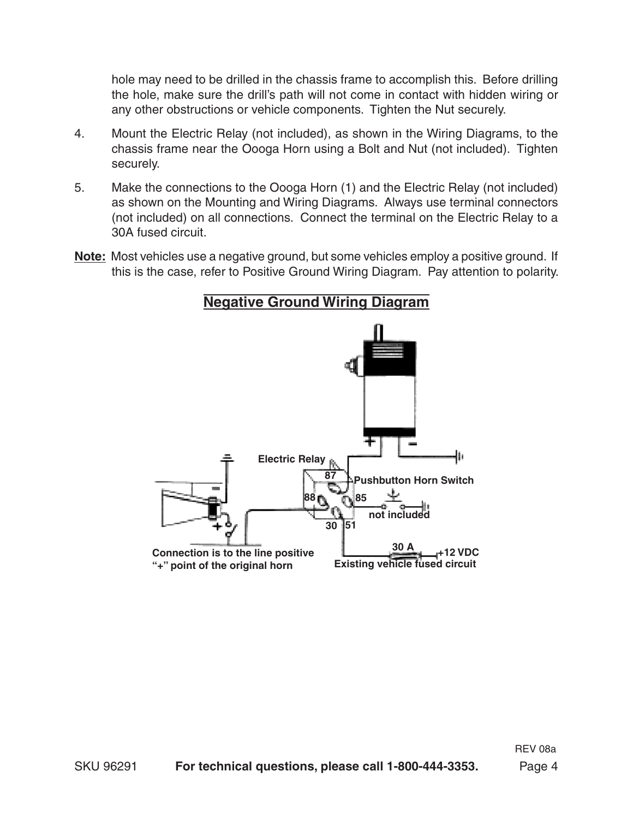hole may need to be drilled in the chassis frame to accomplish this. Before drilling the hole, make sure the drill's path will not come in contact with hidden wiring or any other obstructions or vehicle components. Tighten the Nut securely.

- 4. Mount the Electric Relay (not included), as shown in the Wiring Diagrams, to the chassis frame near the Oooga Horn using a Bolt and Nut (not included). Tighten securely.
- 5. Make the connections to the Oooga Horn (1) and the Electric Relay (not included) as shown on the Mounting and Wiring Diagrams. Always use terminal connectors (not included) on all connections. Connect the terminal on the Electric Relay to a 30A fused circuit.
- **Note:** Most vehicles use a negative ground, but some vehicles employ a positive ground. If this is the case, refer to Positive Ground Wiring Diagram. Pay attention to polarity.

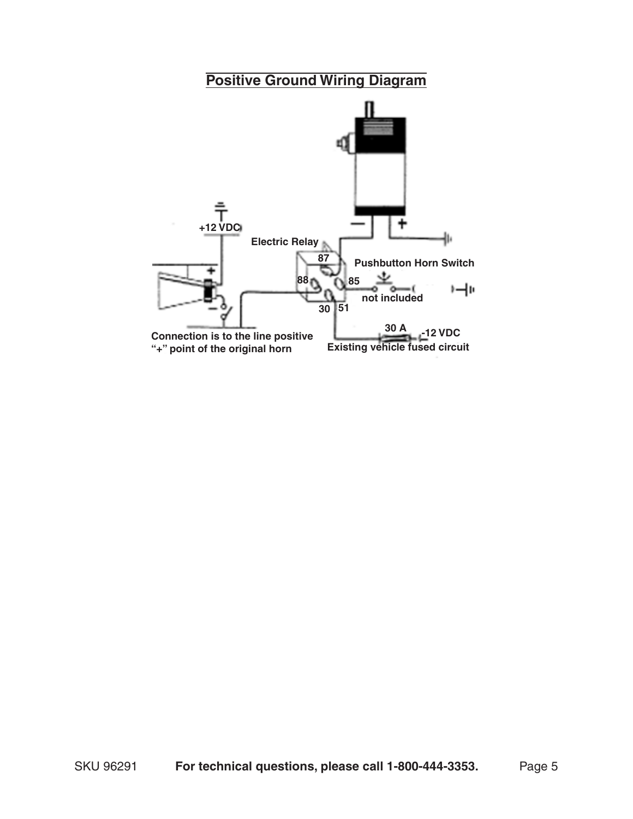## **Positive Ground Wiring Diagram**